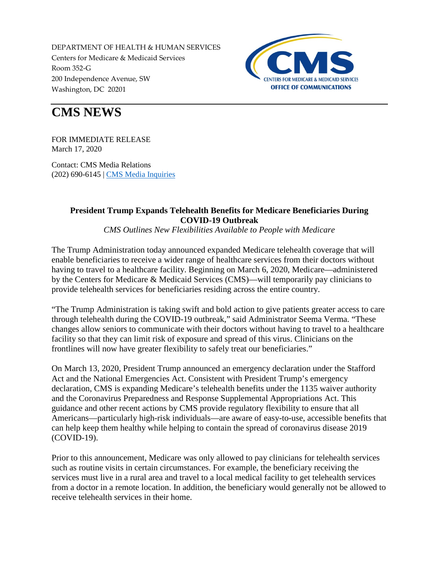DEPARTMENT OF HEALTH & HUMAN SERVICES Centers for Medicare & Medicaid Services Room 352-G 200 Independence Avenue, SW Washington, DC 20201



## **CMS NEWS**

FOR IMMEDIATE RELEASE March 17, 2020

Contact: CMS Media Relations (202) 690-6145 | [CMS Media Inquiries](http://go.cms.gov/media)

## **President Trump Expands Telehealth Benefits for Medicare Beneficiaries During COVID-19 Outbreak**

*CMS Outlines New Flexibilities Available to People with Medicare*

The Trump Administration today announced expanded Medicare telehealth coverage that will enable beneficiaries to receive a wider range of healthcare services from their doctors without having to travel to a healthcare facility. Beginning on March 6, 2020, Medicare—administered by the Centers for Medicare & Medicaid Services (CMS)—will temporarily pay clinicians to provide telehealth services for beneficiaries residing across the entire country.

"The Trump Administration is taking swift and bold action to give patients greater access to care through telehealth during the COVID-19 outbreak," said Administrator Seema Verma. "These changes allow seniors to communicate with their doctors without having to travel to a healthcare facility so that they can limit risk of exposure and spread of this virus. Clinicians on the frontlines will now have greater flexibility to safely treat our beneficiaries."

On March 13, 2020, President Trump announced an emergency declaration under the Stafford Act and the National Emergencies Act. Consistent with President Trump's emergency declaration, CMS is expanding Medicare's telehealth benefits under the 1135 waiver authority and the Coronavirus Preparedness and Response Supplemental Appropriations Act. This guidance and other recent actions by CMS provide regulatory flexibility to ensure that all Americans—particularly high-risk individuals—are aware of easy-to-use, accessible benefits that can help keep them healthy while helping to contain the spread of coronavirus disease 2019 (COVID-19).

Prior to this announcement, Medicare was only allowed to pay clinicians for telehealth services such as routine visits in certain circumstances. For example, the beneficiary receiving the services must live in a rural area and travel to a local medical facility to get telehealth services from a doctor in a remote location. In addition, the beneficiary would generally not be allowed to receive telehealth services in their home.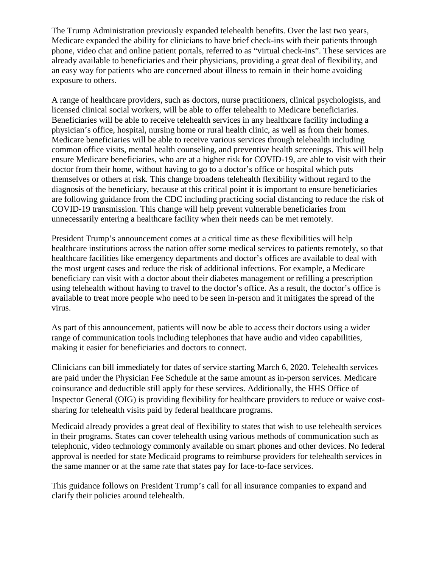The Trump Administration previously expanded telehealth benefits. Over the last two years, Medicare expanded the ability for clinicians to have brief check-ins with their patients through phone, video chat and online patient portals, referred to as "virtual check-ins". These services are already available to beneficiaries and their physicians, providing a great deal of flexibility, and an easy way for patients who are concerned about illness to remain in their home avoiding exposure to others.

A range of healthcare providers, such as doctors, nurse practitioners, clinical psychologists, and licensed clinical social workers, will be able to offer telehealth to Medicare beneficiaries. Beneficiaries will be able to receive telehealth services in any healthcare facility including a physician's office, hospital, nursing home or rural health clinic, as well as from their homes. Medicare beneficiaries will be able to receive various services through telehealth including common office visits, mental health counseling, and preventive health screenings. This will help ensure Medicare beneficiaries, who are at a higher risk for COVID-19, are able to visit with their doctor from their home, without having to go to a doctor's office or hospital which puts themselves or others at risk. This change broadens telehealth flexibility without regard to the diagnosis of the beneficiary, because at this critical point it is important to ensure beneficiaries are following guidance from the CDC including practicing social distancing to reduce the risk of COVID-19 transmission. This change will help prevent vulnerable beneficiaries from unnecessarily entering a healthcare facility when their needs can be met remotely.

President Trump's announcement comes at a critical time as these flexibilities will help healthcare institutions across the nation offer some medical services to patients remotely, so that healthcare facilities like emergency departments and doctor's offices are available to deal with the most urgent cases and reduce the risk of additional infections. For example, a Medicare beneficiary can visit with a doctor about their diabetes management or refilling a prescription using telehealth without having to travel to the doctor's office. As a result, the doctor's office is available to treat more people who need to be seen in-person and it mitigates the spread of the virus.

As part of this announcement, patients will now be able to access their doctors using a wider range of communication tools including telephones that have audio and video capabilities, making it easier for beneficiaries and doctors to connect.

Clinicians can bill immediately for dates of service starting March 6, 2020. Telehealth services are paid under the Physician Fee Schedule at the same amount as in-person services. Medicare coinsurance and deductible still apply for these services. Additionally, the HHS Office of Inspector General (OIG) is providing flexibility for healthcare providers to reduce or waive costsharing for telehealth visits paid by federal healthcare programs.

Medicaid already provides a great deal of flexibility to states that wish to use telehealth services in their programs. States can cover telehealth using various methods of communication such as telephonic, video technology commonly available on smart phones and other devices. No federal approval is needed for state Medicaid programs to reimburse providers for telehealth services in the same manner or at the same rate that states pay for face-to-face services.

This guidance follows on President Trump's call for all insurance companies to expand and clarify their policies around telehealth.